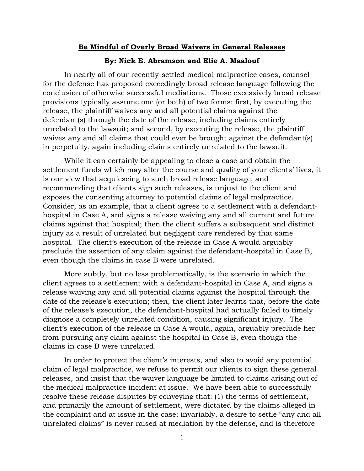## **Be Mindful of Overly Broad Waivers in General Releases**

## **By: Nick E. Abramson and Elie A. Maalouf**

In nearly all of our recently-settled medical malpractice cases, counsel for the defense has proposed exceedingly broad release language following the conclusion of otherwise successful mediations. Those excessively broad release provisions typically assume one (or both) of two forms: first, by executing the release, the plaintiff waives any and all potential claims against the defendant(s) through the date of the release, including claims entirely unrelated to the lawsuit; and second, by executing the release, the plaintiff waives any and all claims that could ever be brought against the defendant(s) in perpetuity, again including claims entirely unrelated to the lawsuit.

While it can certainly be appealing to close a case and obtain the settlement funds which may alter the course and quality of your clients' lives, it is our view that acquiescing to such broad release language, and recommending that clients sign such releases, is unjust to the client and exposes the consenting attorney to potential claims of legal malpractice. Consider, as an example, that a client agrees to a settlement with a defendanthospital in Case A, and signs a release waiving any and all current and future claims against that hospital; then the client suffers a subsequent and distinct injury as a result of unrelated but negligent care rendered by that same hospital. The client's execution of the release in Case A would arguably preclude the assertion of any claim against the defendant-hospital in Case B, even though the claims in case B were unrelated.

More subtly, but no less problematically, is the scenario in which the client agrees to a settlement with a defendant-hospital in Case A, and signs a release waiving any and all potential claims against the hospital through the date of the release's execution; then, the client later learns that, before the date of the release's execution, the defendant-hospital had actually failed to timely diagnose a completely unrelated condition, causing significant injury. The client's execution of the release in Case A would, again, arguably preclude her from pursuing any claim against the hospital in Case B, even though the claims in case B were unrelated.

In order to protect the client's interests, and also to avoid any potential claim of legal malpractice, we refuse to permit our clients to sign these general releases, and insist that the waiver language be limited to claims arising out of the medical malpractice incident at issue. We have been able to successfully resolve these release disputes by conveying that: (1) the terms of settlement, and primarily the amount of settlement, were dictated by the claims alleged in the complaint and at issue in the case; invariably, a desire to settle "any and all unrelated claims" is never raised at mediation by the defense, and is therefore